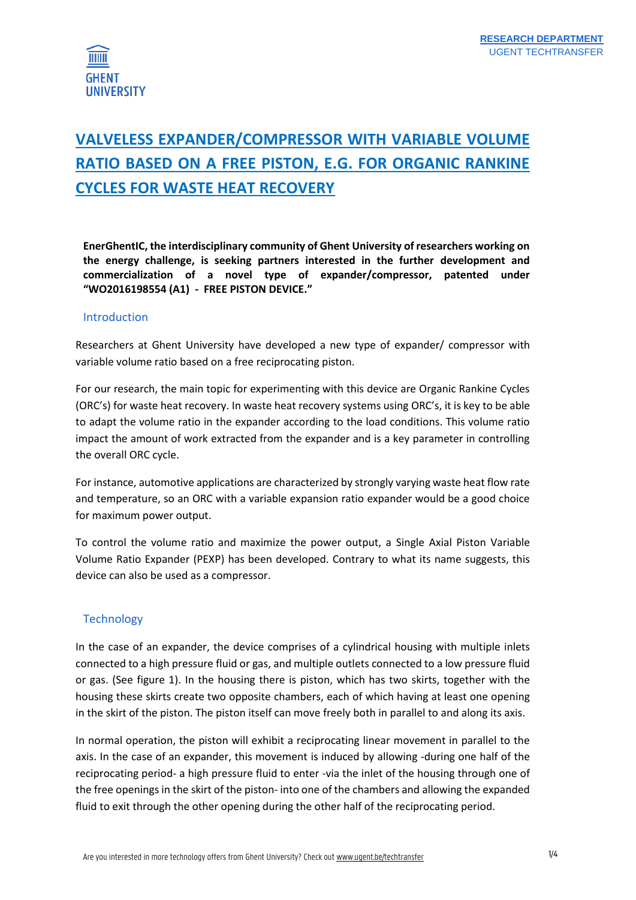

# **VALVELESS EXPANDER/COMPRESSOR WITH VARIABLE VOLUME RATIO BASED ON A FREE PISTON, E.G. FOR ORGANIC RANKINE CYCLES FOR WASTE HEAT RECOVERY**

**EnerGhentIC, the interdisciplinary community of Ghent University of researchers working on the energy challenge, is seeking partners interested in the further development and commercialization of a novel type of expander/compressor, patented under "WO2016198554 (A1) - FREE PISTON DEVICE."**

#### Introduction

Researchers at Ghent University have developed a new type of expander/ compressor with variable volume ratio based on a free reciprocating piston.

For our research, the main topic for experimenting with this device are Organic Rankine Cycles (ORC's) for waste heat recovery. In waste heat recovery systems using ORC's, it is key to be able to adapt the volume ratio in the expander according to the load conditions. This volume ratio impact the amount of work extracted from the expander and is a key parameter in controlling the overall ORC cycle.

For instance, automotive applications are characterized by strongly varying waste heat flow rate and temperature, so an ORC with a variable expansion ratio expander would be a good choice for maximum power output.

To control the volume ratio and maximize the power output, a Single Axial Piston Variable Volume Ratio Expander (PEXP) has been developed. Contrary to what its name suggests, this device can also be used as a compressor.

### **Technology**

In the case of an expander, the device comprises of a cylindrical housing with multiple inlets connected to a high pressure fluid or gas, and multiple outlets connected to a low pressure fluid or gas. (See figure 1). In the housing there is piston, which has two skirts, together with the housing these skirts create two opposite chambers, each of which having at least one opening in the skirt of the piston. The piston itself can move freely both in parallel to and along its axis.

In normal operation, the piston will exhibit a reciprocating linear movement in parallel to the axis. In the case of an expander, this movement is induced by allowing -during one half of the reciprocating period- a high pressure fluid to enter -via the inlet of the housing through one of the free openings in the skirt of the piston- into one of the chambers and allowing the expanded fluid to exit through the other opening during the other half of the reciprocating period.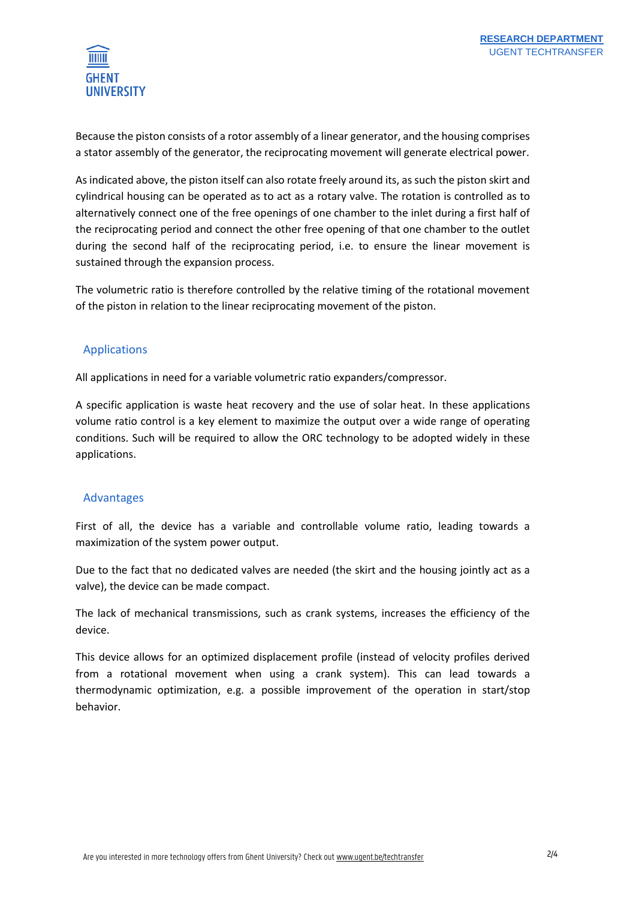

Because the piston consists of a rotor assembly of a linear generator, and the housing comprises a stator assembly of the generator, the reciprocating movement will generate electrical power.

As indicated above, the piston itself can also rotate freely around its, as such the piston skirt and cylindrical housing can be operated as to act as a rotary valve. The rotation is controlled as to alternatively connect one of the free openings of one chamber to the inlet during a first half of the reciprocating period and connect the other free opening of that one chamber to the outlet during the second half of the reciprocating period, i.e. to ensure the linear movement is sustained through the expansion process.

The volumetric ratio is therefore controlled by the relative timing of the rotational movement of the piston in relation to the linear reciprocating movement of the piston.

# Applications

All applications in need for a variable volumetric ratio expanders/compressor.

A specific application is waste heat recovery and the use of solar heat. In these applications volume ratio control is a key element to maximize the output over a wide range of operating conditions. Such will be required to allow the ORC technology to be adopted widely in these applications.

# Advantages

First of all, the device has a variable and controllable volume ratio, leading towards a maximization of the system power output.

Due to the fact that no dedicated valves are needed (the skirt and the housing jointly act as a valve), the device can be made compact.

The lack of mechanical transmissions, such as crank systems, increases the efficiency of the device.

This device allows for an optimized displacement profile (instead of velocity profiles derived from a rotational movement when using a crank system). This can lead towards a thermodynamic optimization, e.g. a possible improvement of the operation in start/stop behavior.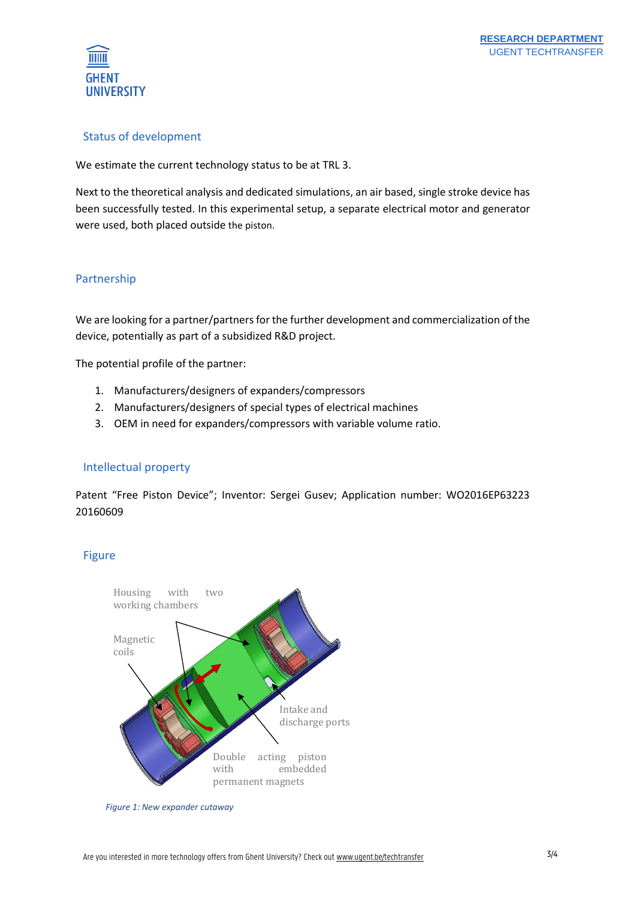

# Status of development

We estimate the current technology status to be at TRL 3.

Next to the theoretical analysis and dedicated simulations, an air based, single stroke device has been successfully tested. In this experimental setup, a separate electrical motor and generator were used, both placed outside the piston.

# Partnership

We are looking for a partner/partners for the further development and commercialization of the device, potentially as part of a subsidized R&D project.

The potential profile of the partner:

- 1. Manufacturers/designers of expanders/compressors
- 2. Manufacturers/designers of special types of electrical machines
- 3. OEM in need for expanders/compressors with variable volume ratio.

# Intellectual property

Patent "Free Piston Device"; Inventor: Sergei Gusev; Application number: WO2016EP63223 20160609

# Figure



*Figure 1: New expander cutaway*